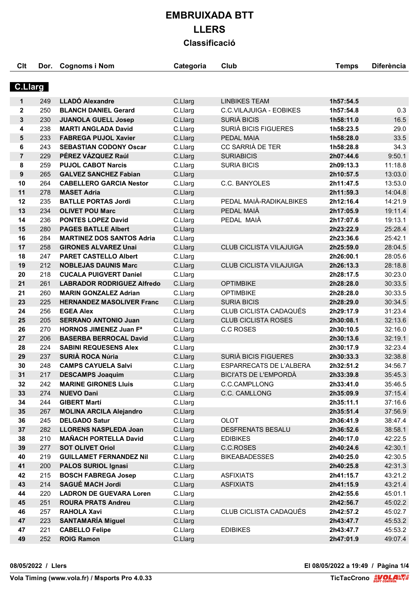| Clt            | Dor. | <b>Cognoms i Nom</b>              | Categoria | Club                           | <b>Temps</b> | <b>Diferència</b> |
|----------------|------|-----------------------------------|-----------|--------------------------------|--------------|-------------------|
| <b>C.Llarg</b> |      |                                   |           |                                |              |                   |
|                |      |                                   |           |                                |              |                   |
| 1              | 249  | <b>LLADO Alexandre</b>            | C.Llarg   | <b>LINBIKES TEAM</b>           | 1h57:54.5    |                   |
| $\mathbf{2}$   | 250  | <b>BLANCH DANIEL Gerard</b>       | C.Llarg   | C.C.VILAJUIGA - EOBIKES        | 1h57:54.8    | 0.3               |
| 3              | 230  | <b>JUANOLA GUELL Josep</b>        | C.Llarg   | SURIÀ BICIS                    | 1h58:11.0    | 16.5              |
| 4              | 238  | <b>MARTI ANGLADA David</b>        | C.Llarg   | SURIÀ BICIS FIGUERES           | 1h58:23.5    | 29.0              |
| 5              | 233  | <b>FABREGA PUJOL Xavier</b>       | C.Llarg   | PEDAL MAIA                     | 1h58:28.0    | 33.5              |
| 6              | 243  | <b>SEBASTIAN CODONY Oscar</b>     | C.Llarg   | CC SARRIÀ DE TER               | 1h58:28.8    | 34.3              |
| $\overline{7}$ | 229  | PÉREZ VÁZQUEZ Raúl                | C.Llarg   | <b>SURIABICIS</b>              | 2h07:44.6    | 9:50.1            |
| 8              | 259  | <b>PUJOL CABOT Narcis</b>         | C.Llarg   | <b>SURIA BICIS</b>             | 2h09:13.3    | 11:18.8           |
| 9              | 265  | <b>GALVEZ SANCHEZ Fabian</b>      | C.Llarg   |                                | 2h10:57.5    | 13:03.0           |
| 10             | 264  | <b>CABELLERO GARCIA Nestor</b>    | C.Llarg   | C.C. BANYOLES                  | 2h11:47.5    | 13:53.0           |
| 11             | 278  | <b>MASET Adria</b>                | C.Llarg   |                                | 2h11:59.3    | 14:04.8           |
| 12             | 235  | <b>BATLLE PORTAS Jordi</b>        | C.Llarg   | PEDAL MAIÀ-RADIKALBIKES        | 2h12:16.4    | 14:21.9           |
| 13             | 234  | <b>OLIVET POU Marc</b>            | C.Llarg   | PEDAL MAIÀ                     | 2h17:05.9    | 19:11.4           |
| 14             | 236  | <b>PONTES LOPEZ David</b>         | C.Llarg   | PEDAL MAIÀ                     | 2h17:07.6    | 19:13.1           |
| 15             | 280  | <b>PAGES BATLLE Albert</b>        | C.Llarg   |                                | 2h23:22.9    | 25:28.4           |
| 16             | 284  | <b>MARTINEZ DOS SANTOS Adria</b>  | C.Llarg   |                                | 2h23:36.6    | 25:42.1           |
| 17             | 258  | <b>GIRONES ALVAREZ Unai</b>       | C.Llarg   | CLUB CICLISTA VILAJUIGA        | 2h25:59.0    | 28:04.5           |
| 18             | 247  | <b>PARET CASTELLO Albert</b>      | C.Llarg   |                                | 2h26:00.1    | 28:05.6           |
| 19             | 212  | <b>NOBLEJAS DAUNIS Marc</b>       | C.Llarg   | CLUB CICLISTA VILAJUIGA        | 2h26:13.3    | 28:18.8           |
| 20             | 218  | <b>CUCALA PUIGVERT Daniel</b>     | C.Llarg   |                                | 2h28:17.5    | 30:23.0           |
| 21             | 261  | <b>LABRADOR RODRIGUEZ Alfredo</b> | C.Llarg   | <b>OPTIMBIKE</b>               | 2h28:28.0    | 30:33.5           |
| 21             | 260  | <b>MARIN GONZALEZ Adrian</b>      | C.Llarg   | <b>OPTIMBIKE</b>               | 2h28:28.0    | 30:33.5           |
| 23             | 225  | <b>HERNANDEZ MASOLIVER Franc</b>  | C.Llarg   | <b>SURIA BICIS</b>             | 2h28:29.0    | 30:34.5           |
| 24             | 256  | <b>EGEA Alex</b>                  | C.Llarg   | CLUB CICLISTA CADAQUÉS         | 2h29:17.9    | 31:23.4           |
| 25             | 205  | <b>SERRANO ANTONIO Juan</b>       | C.Llarg   | <b>CLUB CICLISTA ROSES</b>     | 2h30:08.1    | 32:13.6           |
| 26             | 270  | <b>HORNOS JIMENEZ Juan Fa</b>     | C.Llarg   | <b>C.C ROSES</b>               | 2h30:10.5    | 32:16.0           |
| 27             | 206  | <b>BASERBA BERROCAL David</b>     | C.Llarg   |                                | 2h30:13.6    | 32:19.1           |
| 28             | 224  | <b>SABINI REQUESENS Alex</b>      | C.Llarg   |                                | 2h30:17.9    | 32:23.4           |
| 29             | 237  | <b>SURIÀ ROCA Núria</b>           | C.Llarg   | <b>SURIÀ BICIS FIGUERES</b>    | 2h30:33.3    | 32:38.8           |
| 30             | 248  | <b>CAMPS CAYUELA Salvi</b>        | C.Llarg   | <b>ESPARRECATS DE L'ALBERA</b> | 2h32:51.2    | 34:56.7           |
| 31             | 217  | <b>DESCAMPS Joaquim</b>           | C.Llarg   | <b>BICI'ATS DE L'EMPORDÀ</b>   | 2h33:39.8    | 35:45.3           |
| 32             | 242  | <b>MARINE GIRONES Lluis</b>       | C.Llarg   | C.C.CAMPLLONG                  | 2h33:41.0    | 35:46.5           |
| 33             | 274  | <b>NUEVO Dani</b>                 | C.Llarg   | C.C. CAMLLONG                  | 2h35:09.9    | 37:15.4           |
| 34             | 244  | <b>GIBERT Martí</b>               | C.Llarg   |                                | 2h35:11.1    | 37:16.6           |
| 35             | 267  | <b>MOLINA ARCILA Alejandro</b>    | C.Llarg   |                                | 2h35:51.4    | 37:56.9           |
| 36             | 245  | <b>DELGADO Satur</b>              | C.Llarg   | <b>OLOT</b>                    | 2h36:41.9    | 38:47.4           |
| 37             | 282  | <b>LLORENS NASPLEDA Joan</b>      | C.Llarg   | DESFRENATS BESALU              | 2h36:52.6    | 38:58.1           |
| 38             | 210  | <b>MAÑACH PORTELLA David</b>      | C.Llarg   | <b>EDIBIKES</b>                | 2h40:17.0    | 42:22.5           |
| 39             | 277  | <b>SOT OLIVET Oriol</b>           | C.Llarg   | C.C.ROSES                      | 2h40:24.6    | 42:30.1           |
| 40             | 219  | <b>GUILLAMET FERNANDEZ Nil</b>    | C.Llarg   | <b>BIKEABADESSES</b>           | 2h40:25.0    | 42:30.5           |
| 41             | 200  | <b>PALOS SURIOL Ignasi</b>        | C.Llarg   |                                | 2h40:25.8    | 42:31.3           |
| 42             | 215  | <b>BOSCH FABREGA Josep</b>        | C.Llarg   | <b>ASFIXIATS</b>               | 2h41:15.7    | 43:21.2           |
| 43             | 214  | <b>SAGUÉ MACH Jordi</b>           | C.Llarg   | <b>ASFIXIATS</b>               | 2h41:15.9    | 43:21.4           |
| 44             | 220  | <b>LADRON DE GUEVARA Loren</b>    | C.Llarg   |                                | 2h42:55.6    | 45:01.1           |
| 45             | 251  | <b>ROURA PRATS Andreu</b>         | C.Llarg   |                                | 2h42:56.7    | 45:02.2           |
| 46             | 257  | <b>RAHOLA Xavi</b>                | C.Llarg   | CLUB CICLISTA CADAQUÉS         | 2h42:57.2    | 45:02.7           |
| 47             | 223  | <b>SANTAMARÍA Miguel</b>          | C.Llarg   |                                | 2h43:47.7    | 45:53.2           |
| 47             | 221  | <b>CABELLO Felipe</b>             | C.Llarg   | <b>EDIBIKES</b>                | 2h43:47.7    | 45:53.2           |
| 49             | 252  | <b>ROIG Ramon</b>                 | C.Llarg   |                                | 2h47:01.9    | 49:07.4           |
|                |      |                                   |           |                                |              |                   |

**08/05/2022 / Llers El 08/05/2022 a 19:49 / Pàgina 1/4**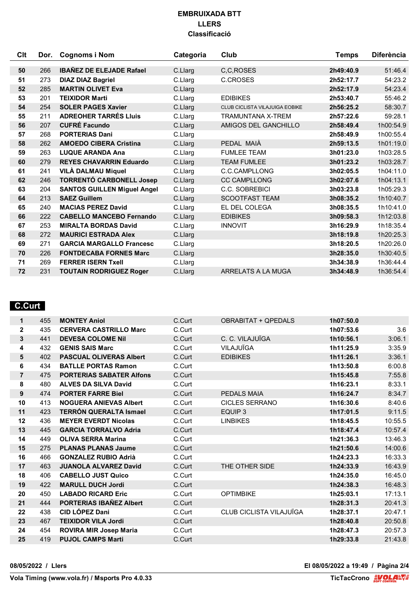| Clt | Dor. | <b>Cognoms i Nom</b>               | Categoria | Club                                  | <b>Temps</b> | <b>Diferència</b> |
|-----|------|------------------------------------|-----------|---------------------------------------|--------------|-------------------|
|     |      |                                    |           |                                       |              |                   |
| 50  | 266  | <b>IBAÑEZ DE ELEJADE Rafael</b>    | C.Llarg   | C,C,ROSES                             | 2h49:40.9    | 51:46.4           |
| 51  | 273  | <b>DIAZ DIAZ Bagriel</b>           | C.Llarg   | C.CROSES                              | 2h52:17.7    | 54:23.2           |
| 52  | 285  | <b>MARTIN OLIVET Eva</b>           | C.Llarg   |                                       | 2h52:17.9    | 54:23.4           |
| 53  | 201  | <b>TEIXIDOR Marti</b>              | C.Llarg   | <b>EDIBIKES</b>                       | 2h53:40.7    | 55:46.2           |
| 54  | 254  | <b>SOLER PAGES Xavier</b>          | C.Llarg   | <b>CLUB CICLISTA VILAJUIGA EOBIKE</b> | 2h56:25.2    | 58:30.7           |
| 55  | 211  | <b>ADREOHER TARRÉS Lluis</b>       | C.Llarg   | <b>TRAMUNTANA X-TREM</b>              | 2h57:22.6    | 59:28.1           |
| 56  | 207  | <b>CUFRÉ Facundo</b>               | C.Llarg   | AMIGOS DEL GANCHILLO                  | 2h58:49.4    | 1h00:54.9         |
| 57  | 268  | <b>PORTERIAS Dani</b>              | C.Llarg   |                                       | 2h58:49.9    | 1h00:55.4         |
| 58  | 262  | <b>AMOEDO CIBERA Cristina</b>      | C.Llarg   | PEDAL MAIÀ                            | 2h59:13.5    | 1h01:19.0         |
| 59  | 263  | <b>LUQUE ARANDA Ana</b>            | C.Llarg   | <b>FUMLEE TEAM</b>                    | 3h01:23.0    | 1h03:28.5         |
| 60  | 279  | <b>REYES CHAVARRIN Eduardo</b>     | C.Llarg   | <b>TEAM FUMLEE</b>                    | 3h01:23.2    | 1h03:28.7         |
| 61  | 241  | <b>VILÀ DALMAU Miquel</b>          | C.Llarg   | C.C.CAMPLLONG                         | 3h02:05.5    | 1h04:11.0         |
| 62  | 246  | <b>TORRENTÓ CARBONELL Josep</b>    | C.Llarg   | <b>CC CAMPLLONG</b>                   | 3h02:07.6    | 1h04:13.1         |
| 63  | 204  | <b>SANTOS GUILLEN Miguel Angel</b> | C.Llarg   | C.C. SOBREBICI                        | 3h03:23.8    | 1h05:29.3         |
| 64  | 213  | <b>SAEZ Guillem</b>                | C.Llarg   | <b>SCOOTFAST TEAM</b>                 | 3h08:35.2    | 1h10:40.7         |
| 65  | 240  | <b>MACIAS PEREZ David</b>          | C.Llarg   | EL DEL COLEGA                         | 3h08:35.5    | 1h10:41.0         |
| 66  | 222  | <b>CABELLO MANCEBO Fernando</b>    | C.Llarg   | <b>EDIBIKES</b>                       | 3h09:58.3    | 1h12:03.8         |
| 67  | 253  | <b>MIRALTA BORDAS David</b>        | C.Llarg   | <b>INNOVIT</b>                        | 3h16:29.9    | 1h18:35.4         |
| 68  | 272  | <b>MAURICI ESTRADA Alex</b>        | C.Llarg   |                                       | 3h18:19.8    | 1h20:25.3         |
| 69  | 271  | <b>GARCIA MARGALLO Francesc</b>    | C.Llarg   |                                       | 3h18:20.5    | 1h20:26.0         |
| 70  | 226  | <b>FONTDECABA FORNES Marc</b>      | C.Llarg   |                                       | 3h28:35.0    | 1h30:40.5         |
| 71  | 269  | <b>FERRER ISERN Txell</b>          | C.Llarg   |                                       | 3h34:38.9    | 1h36:44.4         |
| 72  | 231  | <b>TOUTAIN RODRIGUEZ Roger</b>     | C.Llard   | ARRELATS A LA MUGA                    | 3h34:48.9    | 1h36:54.4         |

## **C.Curt**

| 455 | <b>MONTEY Aniol</b>             | C.Curt | <b>OBRABITAT + QPEDALS</b> | 1h07:50.0 |           |
|-----|---------------------------------|--------|----------------------------|-----------|-----------|
| 435 | <b>CERVERA CASTRILLO Marc</b>   | C.Curt |                            | 1h07:53.6 | 3.6       |
| 441 | <b>DEVESA COLOME Nil</b>        | C.Curt | C. C. VILAJUÏGA            | 1h10:56.1 | 3:06.1    |
| 432 | <b>GENIS SAIS Marc</b>          | C.Curt | VILAJUÏGA                  | 1h11:25.9 | 3:35.9    |
| 402 | <b>PASCUAL OLIVERAS Albert</b>  | C.Curt | <b>EDIBIKES</b>            | 1h11:26.1 | 3:36.1    |
| 434 | <b>BATLLE PORTAS Ramon</b>      | C.Curt |                            | 1h13:50.8 | 6:00.8    |
| 475 | <b>PORTERIAS SABATER Alfons</b> | C.Curt |                            | 1h15:45.8 | 7:55.8    |
| 480 | <b>ALVES DA SILVA David</b>     | C.Curt |                            | 1h16:23.1 | 8:33.1    |
| 474 | <b>PORTER FARRE Biel</b>        | C.Curt | <b>PEDALS MAIA</b>         | 1h16:24.7 | 8:34.7    |
| 413 | <b>NOGUERA ANIEVAS Albert</b>   | C.Curt | <b>CICLES SERRANO</b>      | 1h16:30.6 | 8:40.6    |
| 423 | <b>TERRÓN QUERALTA Ismael</b>   | C.Curt | EQUIP 3                    | 1h17:01.5 | 9:11.5    |
| 436 | <b>MEYER EVERDT Nicolas</b>     | C.Curt | <b>LINBIKES</b>            | 1h18:45.5 | 10:55.5   |
| 445 | <b>GARCIA TORRALVO Adria</b>    | C.Curt |                            | 1h18:47.4 | 10:57.4   |
| 449 | <b>OLIVA SERRA Marina</b>       | C.Curt |                            | 1h21:36.3 | 13:46.3   |
| 275 | <b>PLANAS PLANAS Jaume</b>      | C.Curt |                            | 1h21:50.6 | 14:00.6   |
| 466 | <b>GONZALEZ RUBIO Adrià</b>     | C.Curt |                            | 1h24:23.3 | 16:33.3   |
| 463 | <b>JUANOLA ALVAREZ David</b>    | C.Curt | THE OTHER SIDE             | 1h24:33.9 | 16:43.9   |
| 406 | <b>CABELLO JUST Quico</b>       | C.Curt |                            | 1h24:35.0 | 16:45.0   |
| 422 | <b>MARULL DUCH Jordi</b>        | C.Curt |                            | 1h24:38.3 | 16:48.3   |
| 450 | <b>LABADO RICARD Eric</b>       | C.Curt | <b>OPTIMBIKE</b>           | 1h25:03.1 | 17:13.1   |
| 444 | <b>PORTERIAS IBAÑEZ Albert</b>  | C.Curt |                            | 1h28:31.3 | 20:41.3   |
| 438 | <b>CID LÓPEZ Dani</b>           | C.Curt | CLUB CICLISTA VILAJUÏGA    | 1h28:37.1 | 20:47.1   |
| 467 | <b>TEIXIDOR VILA Jordi</b>      | C.Curt |                            | 1h28:40.8 | 20:50.8   |
| 454 | <b>ROVIRA MIR Josep Maria</b>   | C.Curt |                            | 1h28:47.3 | 20:57.3   |
| 419 | <b>PUJOL CAMPS Marti</b>        | C.Curt |                            |           | 21:43.8   |
|     |                                 |        |                            |           | 1h29:33.8 |

**08/05/2022 / Llers El 08/05/2022 a 19:49 / Pàgina 2/4**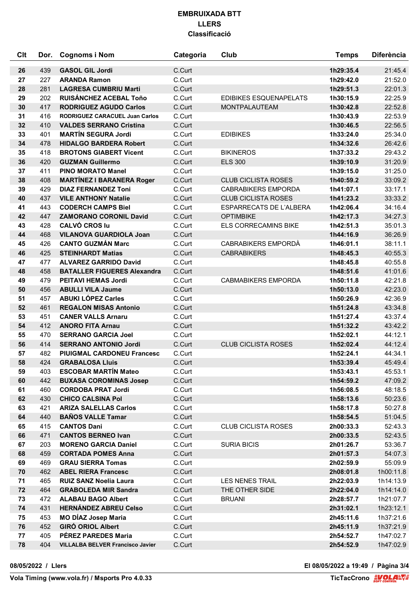| Clt | Dor. | <b>Cognoms i Nom</b>                    | Categoria | Club                           | <b>Temps</b> | <b>Diferència</b> |
|-----|------|-----------------------------------------|-----------|--------------------------------|--------------|-------------------|
| 26  | 439  | <b>GASOL GIL Jordi</b>                  | C.Curt    |                                | 1h29:35.4    | 21:45.4           |
| 27  | 227  | <b>ARANDA Ramon</b>                     | C.Curt    |                                | 1h29:42.0    | 21:52.0           |
| 28  | 281  | <b>LAGRESA CUMBRIU Marti</b>            | C.Curt    |                                | 1h29:51.3    | 22:01.3           |
| 29  | 202  | <b>RUISÁNCHEZ ACEBAL Toño</b>           | C.Curt    | <b>EDIBIKES ESQUENAPELATS</b>  | 1h30:15.9    | 22:25.9           |
| 30  | 417  | <b>RODRIGUEZ AGUDO Carlos</b>           | C.Curt    | <b>MONTPALAUTEAM</b>           | 1h30:42.8    | 22:52.8           |
| 31  | 416  | <b>RODRIGUEZ CARACUEL Juan Carlos</b>   | C.Curt    |                                | 1h30:43.9    | 22:53.9           |
| 32  | 410  | <b>VALDES SERRANO Cristina</b>          | C.Curt    |                                | 1h30:46.5    | 22:56.5           |
| 33  | 401  | <b>MARTÍN SEGURA Jordi</b>              | C.Curt    | <b>EDIBIKES</b>                | 1h33:24.0    | 25:34.0           |
| 34  | 478  | <b>HIDALGO BARDERA Robert</b>           | C.Curt    |                                | 1h34:32.6    | 26:42.6           |
| 35  | 418  | <b>BROTONS GIABERT Vicent</b>           | C.Curt    | <b>BIKINEROS</b>               | 1h37:33.2    | 29:43.2           |
| 36  | 420  | <b>GUZMAN Guillermo</b>                 | C.Curt    | <b>ELS 300</b>                 | 1h39:10.9    | 31:20.9           |
| 37  | 411  | <b>PINO MORATO Manel</b>                | C.Curt    |                                | 1h39:15.0    | 31:25.0           |
| 38  | 408  | <b>MARTÍNEZ I BARANERA Roger</b>        | C.Curt    | <b>CLUB CICLISTA ROSES</b>     | 1h40:59.2    | 33:09.2           |
| 39  | 429  | <b>DIAZ FERNANDEZ Toni</b>              | C.Curt    | <b>CABRABIKERS EMPORDA</b>     | 1h41:07.1    | 33:17.1           |
| 40  | 437  | <b>VILE ANTHONY Natalie</b>             | C.Curt    | <b>CLUB CICLISTA ROSES</b>     | 1h41:23.2    | 33:33.2           |
| 41  | 443  | <b>CODERCH CAMPS Biel</b>               | C.Curt    | <b>ESPARRECATS DE L'ALBERA</b> | 1h42:06.4    | 34:16.4           |
| 42  | 447  | <b>ZAMORANO CORONIL David</b>           | C.Curt    | <b>OPTIMBIKE</b>               | 1h42:17.3    | 34:27.3           |
| 43  | 428  | <b>CALVÓ CROS lu</b>                    | C.Curt    | ELS CORRECAMINS BIKE           | 1h42:51.3    | 35:01.3           |
| 44  | 468  | <b>VILANOVA GUARDIOLA Joan</b>          | C.Curt    |                                | 1h44:16.9    | 36:26.9           |
| 45  | 426  | <b>CANTO GUZMÁN Marc</b>                | C.Curt    | CABRABIKERS EMPORDÀ            | 1h46:01.1    | 38:11.1           |
| 46  | 425  | <b>STEINHARDT Matias</b>                | C.Curt    | <b>CABRABIKERS</b>             | 1h48:45.3    | 40:55.3           |
| 47  | 477  | <b>ALVAREZ GARRIDO David</b>            | C.Curt    |                                | 1h48:45.8    | 40:55.8           |
| 48  | 458  | <b>BATALLER FIGUERES Alexandra</b>      | C.Curt    |                                | 1h48:51.6    | 41:01.6           |
| 49  | 479  | <b>PEITAVI HEMAS Jordi</b>              | C.Curt    | <b>CABMABIKERS EMPORDA</b>     | 1h50:11.8    | 42:21.8           |
| 50  | 456  | <b>ABULLI VILA Jaume</b>                | C.Curt    |                                | 1h50:13.0    | 42:23.0           |
| 51  | 457  | <b>ABUKI LÓPEZ Carles</b>               | C.Curt    |                                | 1h50:26.9    | 42:36.9           |
| 52  | 461  | <b>REGALON MISAS Antonio</b>            | C.Curt    |                                | 1h51:24.8    | 43:34.8           |
| 53  | 451  | <b>CANER VALLS Arnaru</b>               | C.Curt    |                                | 1h51:27.4    | 43:37.4           |
| 54  | 412  | <b>ANORO FITA Arnau</b>                 | C.Curt    |                                | 1h51:32.2    | 43:42.2           |
| 55  | 470  | <b>SERRANO GARCIA Joel</b>              | C.Curt    |                                | 1h52:02.1    | 44:12.1           |
| 56  | 414  | <b>SERRANO ANTONIO Jordi</b>            | C.Curt    | <b>CLUB CICLISTA ROSES</b>     | 1h52:02.4    | 44:12.4           |
| 57  | 482  | <b>PIUIGMAL CARDONEU Francesc</b>       | C.Curt    |                                | 1h52:24.1    | 44:34.1           |
| 58  | 424  | <b>GRABALOSA Lluis</b>                  | C.Curt    |                                | 1h53:39.4    | 45:49.4           |
| 59  | 403  | <b>ESCOBAR MARTÍN Mateo</b>             | C.Curt    |                                | 1h53:43.1    | 45:53.1           |
| 60  | 442  | <b>BUXASA COROMINAS Josep</b>           | C.Curt    |                                | 1h54:59.2    | 47:09.2           |
| 61  | 460  | <b>CORDOBA PRAT Jordi</b>               | C.Curt    |                                | 1h56:08.5    | 48:18.5           |
| 62  | 430  | <b>CHICO CALSINA Pol</b>                | C.Curt    |                                | 1h58:13.6    | 50:23.6           |
| 63  | 421  | <b>ARIZA SALELLAS Carlos</b>            | C.Curt    |                                | 1h58:17.8    | 50:27.8           |
| 64  | 440  | <b>BAÑOS VALLE Tamar</b>                | C.Curt    |                                | 1h58:54.5    | 51:04.5           |
| 65  | 415  | <b>CANTOS Dani</b>                      | C.Curt    | <b>CLUB CICLISTA ROSES</b>     | 2h00:33.3    | 52:43.3           |
| 66  | 471  | <b>CANTOS BERNEO Ivan</b>               | C.Curt    |                                | 2h00:33.5    | 52:43.5           |
| 67  | 203  | <b>MORENO GARCIA Daniel</b>             | C.Curt    | <b>SURIA BICIS</b>             | 2h01:26.7    | 53:36.7           |
| 68  | 459  | <b>CORTADA POMES Anna</b>               | C.Curt    |                                | 2h01:57.3    | 54:07.3           |
| 69  | 469  | <b>GRAU SIERRA Tomas</b>                | C.Curt    |                                | 2h02:59.9    | 55:09.9           |
| 70  | 462  | <b>ABEL RIERA Francesc</b>              | C.Curt    |                                | 2h08:01.8    | 1h00:11.8         |
| 71  | 465  | <b>RUIZ SANZ Noelia Laura</b>           | C.Curt    | <b>LES NENES TRAIL</b>         | 2h22:03.9    | 1h14:13.9         |
| 72  | 464  | <b>GRABOLEDA MIR Sandra</b>             | C.Curt    | THE OTHER SIDE                 | 2h22:04.0    | 1h14:14.0         |
| 73  | 472  | <b>ALABAU BAGO Albert</b>               | C.Curt    | <b>BRUANI</b>                  | 2h28:57.7    | 1h21:07.7         |
| 74  | 431  | <b>HERNANDEZ ABREU Celso</b>            | C.Curt    |                                | 2h31:02.1    | 1h23:12.1         |
| 75  | 453  | <b>MO DÍAZ Josep Maria</b>              | C.Curt    |                                | 2h45:11.6    | 1h37:21.6         |
| 76  | 452  | <b>GIRÓ ORIOL Albert</b>                | C.Curt    |                                | 2h45:11.9    | 1h37:21.9         |
| 77  | 405  | PÉREZ PAREDES Maria                     | C.Curt    |                                | 2h54:52.7    | 1h47:02.7         |
| 78  | 404  | <b>VILLALBA BELVER Francisco Javier</b> | C.Curt    |                                | 2h54:52.9    | 1h47:02.9         |

**08/05/2022 / Llers El 08/05/2022 a 19:49 / Pàgina 3/4**